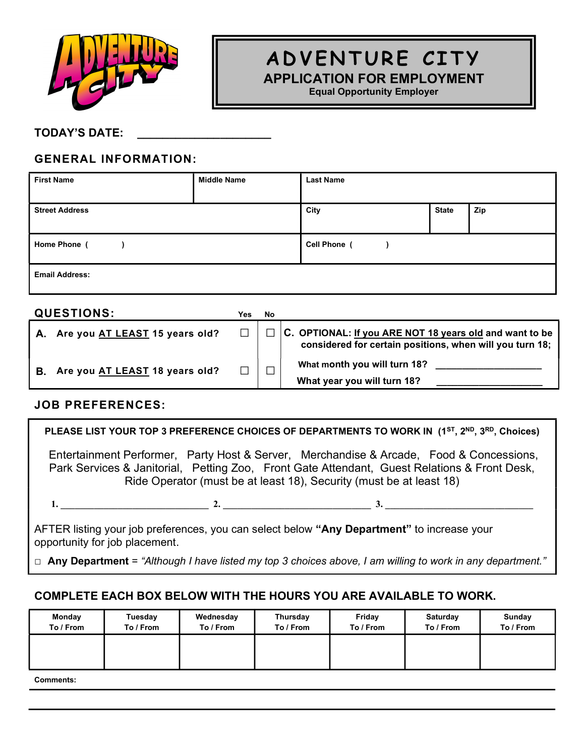

# A D V EN TURE CITY

APPLICATION FOR EMPLOYMENT

Equal Opportunity Employer

#### TODAY'S DATE:

### GENERAL INFORMATION:

| <b>First Name</b>     | <b>Middle Name</b> | <b>Last Name</b> |              |     |
|-----------------------|--------------------|------------------|--------------|-----|
| <b>Street Address</b> |                    | City             | <b>State</b> | Zip |
| Home Phone (          |                    | Cell Phone (     |              |     |
| <b>Email Address:</b> |                    |                  |              |     |

|    | <b>QUESTIONS:</b>              | Yes | No     |                                                                                                                     |
|----|--------------------------------|-----|--------|---------------------------------------------------------------------------------------------------------------------|
| А. | Are you AT LEAST 15 years old? |     |        | C. OPTIONAL: If you ARE NOT 18 years old and want to be<br>considered for certain positions, when will you turn 18; |
| В. | Are you AT LEAST 18 years old? |     | $\Box$ | What month you will turn 18?<br>What year you will turn 18?                                                         |

#### JOB PREFERENCES:

PLEASE LIST YOUR TOP 3 PREFERENCE CHOICES OF DEPARTMENTS TO WORK IN (1<sup>ST</sup>, 2<sup>ND</sup>, 3<sup>RD</sup>, Choices)

 Entertainment Performer, Party Host & Server, Merchandise & Arcade, Food & Concessions, Park Services & Janitorial, Petting Zoo, Front Gate Attendant, Guest Relations & Front Desk, Ride Operator (must be at least 18), Security (must be at least 18)

1. \_\_\_\_\_\_\_\_\_\_\_\_\_\_\_\_\_\_\_\_\_\_\_\_\_\_\_\_\_\_\_ 2. \_\_\_\_\_\_\_\_\_\_\_\_\_\_\_\_\_\_\_\_\_\_\_\_\_\_\_\_\_\_\_ 3. \_\_\_\_\_\_\_\_\_\_\_\_\_\_\_\_\_\_\_\_\_\_\_\_\_\_\_\_\_\_\_

AFTER listing your job preferences, you can select below "Any Department" to increase your opportunity for job placement.

 $\Box$  Any Department = "Although I have listed my top 3 choices above, I am willing to work in any department."

#### COMPLETE EACH BOX BELOW WITH THE HOURS YOU ARE AVAILABLE TO WORK.

| Monday    | Tuesday   | Wednesday | <b>Thursday</b> | Friday    | Saturday  | Sunday    |
|-----------|-----------|-----------|-----------------|-----------|-----------|-----------|
| To / From | To / From | To / From | To / From       | To / From | To / From | To / From |
|           |           |           |                 |           |           |           |

Comments: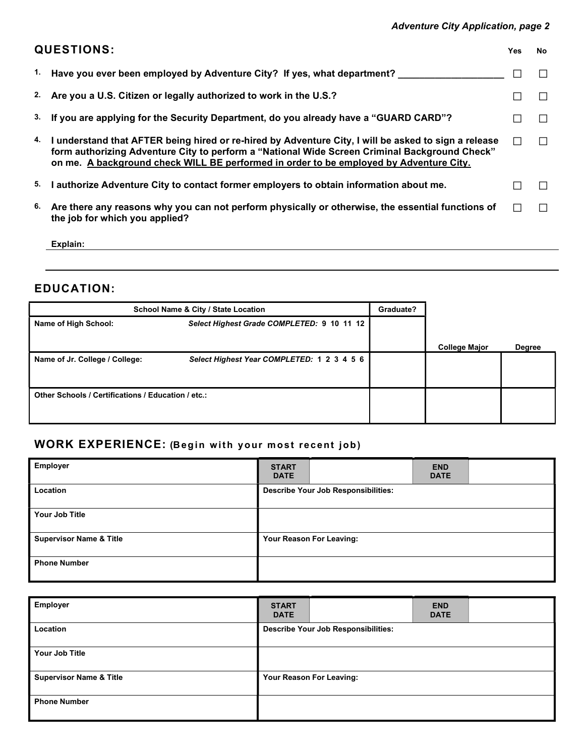#### Adventure City Application, page 2

|    | <b>QUESTIONS:</b>                                                                                                                                                                                                                                                                                  | Yes | No. |
|----|----------------------------------------------------------------------------------------------------------------------------------------------------------------------------------------------------------------------------------------------------------------------------------------------------|-----|-----|
|    | <sup>1.</sup> Have you ever been employed by Adventure City? If yes, what department?                                                                                                                                                                                                              |     |     |
|    | 2. Are you a U.S. Citizen or legally authorized to work in the U.S.?                                                                                                                                                                                                                               |     |     |
|    | <sup>3.</sup> If you are applying for the Security Department, do you already have a "GUARD CARD"?                                                                                                                                                                                                 |     |     |
|    | 4. I understand that AFTER being hired or re-hired by Adventure City, I will be asked to sign a release<br>form authorizing Adventure City to perform a "National Wide Screen Criminal Background Check"<br>on me. A background check WILL BE performed in order to be employed by Adventure City. |     |     |
| 5. | I authorize Adventure City to contact former employers to obtain information about me.                                                                                                                                                                                                             |     |     |
| 6. | Are there any reasons why you can not perform physically or otherwise, the essential functions of<br>the job for which you applied?                                                                                                                                                                |     |     |

Explain: explain: explain: explaint and the set of the set of the set of the set of the set of the set of the set of the set of the set of the set of the set of the set of the set of the set of the set of the set of the se

### EDUCATION:

| School Name & City / State Location                                | Graduate?                                  |  |                      |               |
|--------------------------------------------------------------------|--------------------------------------------|--|----------------------|---------------|
| Select Highest Grade COMPLETED: 9 10 11 12<br>Name of High School: |                                            |  |                      |               |
|                                                                    |                                            |  |                      |               |
|                                                                    |                                            |  | <b>College Major</b> | <b>Degree</b> |
| Name of Jr. College / College:                                     | Select Highest Year COMPLETED: 1 2 3 4 5 6 |  |                      |               |
|                                                                    |                                            |  |                      |               |
| Other Schools / Certifications / Education / etc.:                 |                                            |  |                      |               |
|                                                                    |                                            |  |                      |               |
|                                                                    |                                            |  |                      |               |

## WORK EXPERIENCE: (Begin with your most recent job)

| <b>Employer</b>                    | <b>START</b><br><b>DATE</b> |                                            | <b>END</b><br><b>DATE</b> |  |
|------------------------------------|-----------------------------|--------------------------------------------|---------------------------|--|
| Location                           |                             | <b>Describe Your Job Responsibilities:</b> |                           |  |
| Your Job Title                     |                             |                                            |                           |  |
| <b>Supervisor Name &amp; Title</b> |                             | Your Reason For Leaving:                   |                           |  |
| <b>Phone Number</b>                |                             |                                            |                           |  |

| <b>Employer</b>                    | <b>START</b><br><b>END</b><br><b>DATE</b><br><b>DATE</b> |
|------------------------------------|----------------------------------------------------------|
| Location                           | <b>Describe Your Job Responsibilities:</b>               |
| Your Job Title                     |                                                          |
| <b>Supervisor Name &amp; Title</b> | Your Reason For Leaving:                                 |
| <b>Phone Number</b>                |                                                          |